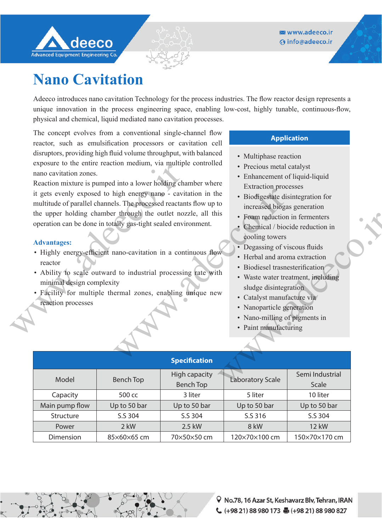

## **Nano Cavitation**

Adeeco introduces nano cavitation Technology for the process industries. The flow reactor design represents a unique innovation in the process engineering space, enabling low-cost, highly tunable, continuous-flow, physical and chemical, liquid mediated nano cavitation processes.

The concept evolves from a conventional single-channel flow reactor, such as emulsification processors or cavitation cell disruptors, providing high fluid volume throughput, with balanced exposure to the entire reaction medium, via multiple controlled nano cavitation zones.

Reaction mixture is pumped into a lower holding chamber where it gets evenly exposed to high energy nano - cavitation in the multitude of parallel channels. The processed reactants flow up to the upper holding chamber through the outlet nozzle, all this operation can be done in totally gas-tight sealed environment. Exposite to the entire reaction including, via mample<br>nano cavitation zones.<br>Reaction mixture is pumped into a lower holding charm<br>it gets evenly exposed to high energy nano - cavitat<br>multitude of parallel channels. The pr

## **Advantages:**

- Highly energy-efficient nano-cavitation in a continuous flow reactor
- Ability to scale outward to industrial processing rate with minimal design complexity
- Facility for multiple thermal zones, enabling unique new reaction processes

## **Application**

- Multiphase reaction
- Precious metal catalyst
- Enhancement of liquid-liquid Extraction processes
- Biodigestate disintegration for increased biogas generation
- Foam reduction in fermenters
- Chemical / biocide reduction in cooling towers
- Degassing of viscous fluids
- Herbal and aroma extraction
- Biodiesel trasnesterification
- Waste water treatment, including sludge disintegration
- Catalyst manufacture via
- Nanoparticle generation
- Nano-milling of pigments in
- Paint manufacturing

| it gets evenly exposed to high energy nano - cavitation in the<br>multitude of parallel channels. The processed reactants flow up to<br>the upper holding chamber through the outlet nozzle, all this<br>operation can be done in totally gas-tight sealed environment.<br><b>Advantages:</b><br>• Highly energy-efficient nano-cavitation in a continuous flow<br>reactor<br>• Ability to scale outward to industrial processing rate with<br>minimal design complexity<br>· Facility for multiple thermal zones, enabling unique new<br>reaction processes |                  |                                          | · Biodigestate disintegration for<br>increased biogas generation<br>• Foam reduction in fermenters<br>• Chemical / biocide reduction in<br>cooling towers<br>• Degassing of viscous fluids<br>• Herbal and aroma extraction<br>· Biodiesel trasnesterification<br>• Waste water treatment, including<br>sludge disintegration<br>• Catalyst manufacture via<br>• Nanoparticle generation<br>• Nano-milling of pigments in<br>• Paint manufacturing |                          |  |
|--------------------------------------------------------------------------------------------------------------------------------------------------------------------------------------------------------------------------------------------------------------------------------------------------------------------------------------------------------------------------------------------------------------------------------------------------------------------------------------------------------------------------------------------------------------|------------------|------------------------------------------|----------------------------------------------------------------------------------------------------------------------------------------------------------------------------------------------------------------------------------------------------------------------------------------------------------------------------------------------------------------------------------------------------------------------------------------------------|--------------------------|--|
|                                                                                                                                                                                                                                                                                                                                                                                                                                                                                                                                                              |                  | <b>Specification</b>                     |                                                                                                                                                                                                                                                                                                                                                                                                                                                    |                          |  |
| Model                                                                                                                                                                                                                                                                                                                                                                                                                                                                                                                                                        | <b>Bench Top</b> | <b>High capacity</b><br><b>Bench Top</b> | <b>Laboratory Scale</b>                                                                                                                                                                                                                                                                                                                                                                                                                            | Semi Industrial<br>Scale |  |
| Capacity                                                                                                                                                                                                                                                                                                                                                                                                                                                                                                                                                     | 500 cc           | 3 liter                                  | 5 liter                                                                                                                                                                                                                                                                                                                                                                                                                                            | 10 liter                 |  |
| Main pump flow                                                                                                                                                                                                                                                                                                                                                                                                                                                                                                                                               | Up to 50 bar     | Up to 50 bar                             | Up to 50 bar                                                                                                                                                                                                                                                                                                                                                                                                                                       | Up to 50 bar             |  |
| Structure                                                                                                                                                                                                                                                                                                                                                                                                                                                                                                                                                    | S.S 304          | S.S 304                                  | S.S 316                                                                                                                                                                                                                                                                                                                                                                                                                                            | S.S 304                  |  |
| Power                                                                                                                                                                                                                                                                                                                                                                                                                                                                                                                                                        | 2 kW             | 2.5 kW                                   | 8 kW                                                                                                                                                                                                                                                                                                                                                                                                                                               | <b>12 kW</b>             |  |
| Dimension                                                                                                                                                                                                                                                                                                                                                                                                                                                                                                                                                    | 85×60×65 cm      | 70×50×50 cm                              | 120×70×100 cm                                                                                                                                                                                                                                                                                                                                                                                                                                      | 150×70×170 cm            |  |
|                                                                                                                                                                                                                                                                                                                                                                                                                                                                                                                                                              |                  |                                          |                                                                                                                                                                                                                                                                                                                                                                                                                                                    |                          |  |
|                                                                                                                                                                                                                                                                                                                                                                                                                                                                                                                                                              |                  |                                          |                                                                                                                                                                                                                                                                                                                                                                                                                                                    |                          |  |



↓ (+98 21) 88 980 173 ■ (+98 21) 88 980 827